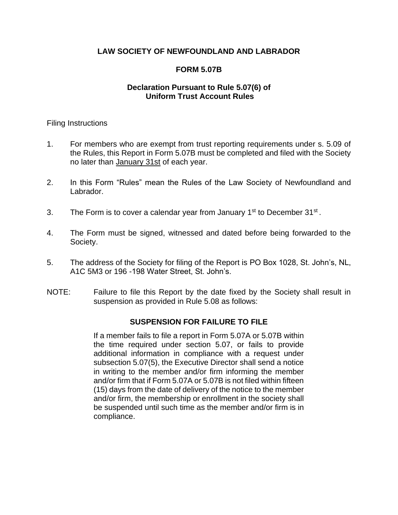# **LAW SOCIETY OF NEWFOUNDLAND AND LABRADOR**

# **FORM 5.07B**

## **Declaration Pursuant to Rule 5.07(6) of Uniform Trust Account Rules**

## Filing Instructions

- 1. For members who are exempt from trust reporting requirements under s. 5.09 of the Rules, this Report in Form 5.07B must be completed and filed with the Society no later than January 31st of each year.
- 2. In this Form "Rules" mean the Rules of the Law Society of Newfoundland and Labrador.
- 3. The Form is to cover a calendar year from January  $1<sup>st</sup>$  to December  $31<sup>st</sup>$ .
- 4. The Form must be signed, witnessed and dated before being forwarded to the Society.
- 5. The address of the Society for filing of the Report is PO Box 1028, St. John's, NL, A1C 5M3 or 196 -198 Water Street, St. John's.
- NOTE: Failure to file this Report by the date fixed by the Society shall result in suspension as provided in Rule 5.08 as follows:

## **SUSPENSION FOR FAILURE TO FILE**

If a member fails to file a report in Form 5.07A or 5.07B within the time required under section 5.07, or fails to provide additional information in compliance with a request under subsection 5.07(5), the Executive Director shall send a notice in writing to the member and/or firm informing the member and/or firm that if Form 5.07A or 5.07B is not filed within fifteen (15) days from the date of delivery of the notice to the member and/or firm, the membership or enrollment in the society shall be suspended until such time as the member and/or firm is in compliance.